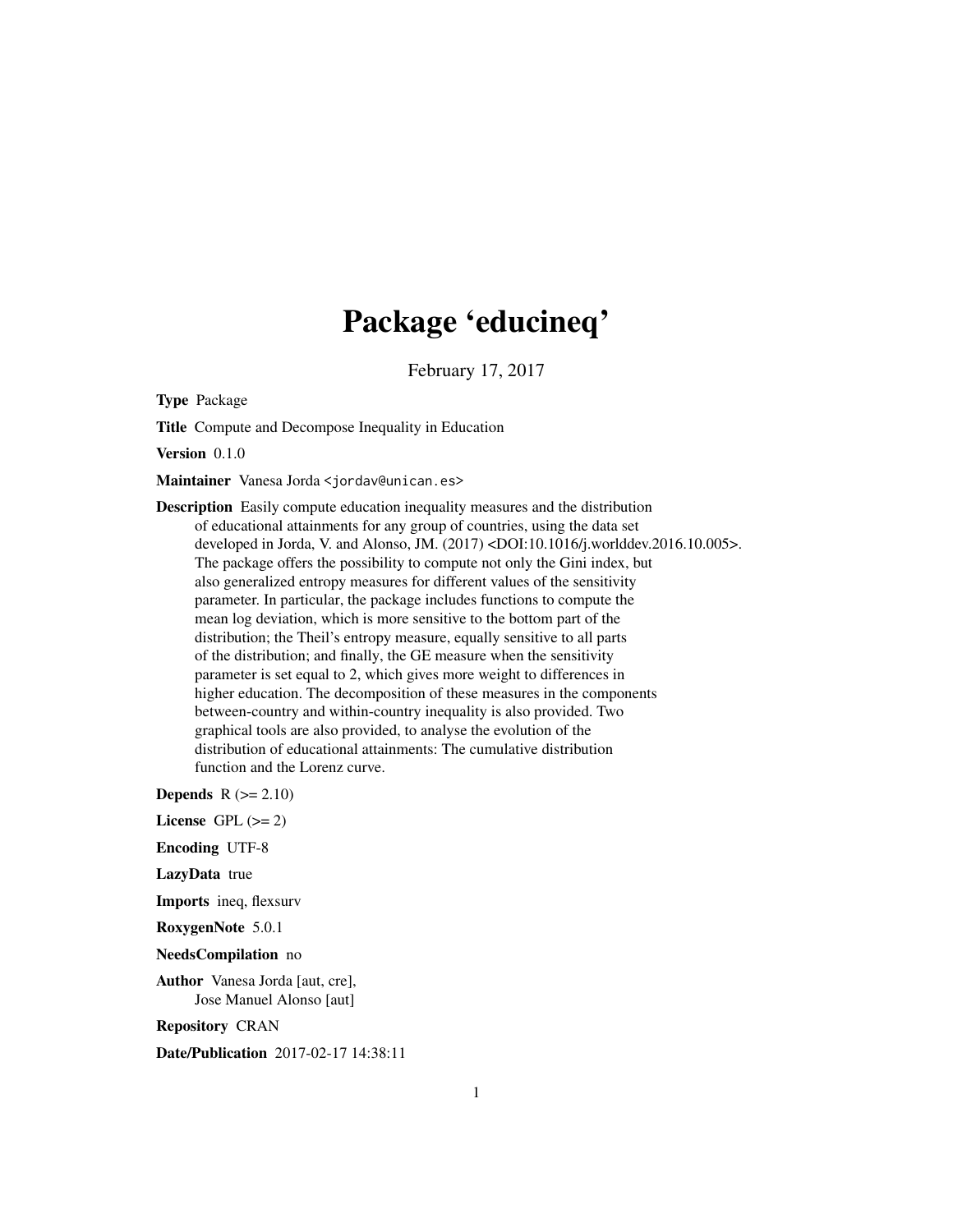# Package 'educineq'

February 17, 2017

<span id="page-0-0"></span>Type Package

Title Compute and Decompose Inequality in Education

Version 0.1.0

Maintainer Vanesa Jorda <jordav@unican.es>

Description Easily compute education inequality measures and the distribution of educational attainments for any group of countries, using the data set developed in Jorda, V. and Alonso, JM. (2017) <DOI:10.1016/j.worlddev.2016.10.005>. The package offers the possibility to compute not only the Gini index, but also generalized entropy measures for different values of the sensitivity parameter. In particular, the package includes functions to compute the mean log deviation, which is more sensitive to the bottom part of the distribution; the Theil's entropy measure, equally sensitive to all parts of the distribution; and finally, the GE measure when the sensitivity parameter is set equal to 2, which gives more weight to differences in higher education. The decomposition of these measures in the components between-country and within-country inequality is also provided. Two graphical tools are also provided, to analyse the evolution of the distribution of educational attainments: The cumulative distribution function and the Lorenz curve.

Depends  $R (= 2.10)$ 

- License GPL  $(>= 2)$
- Encoding UTF-8

LazyData true

Imports ineq, flexsurv

RoxygenNote 5.0.1

NeedsCompilation no

Author Vanesa Jorda [aut, cre], Jose Manuel Alonso [aut]

Repository CRAN

Date/Publication 2017-02-17 14:38:11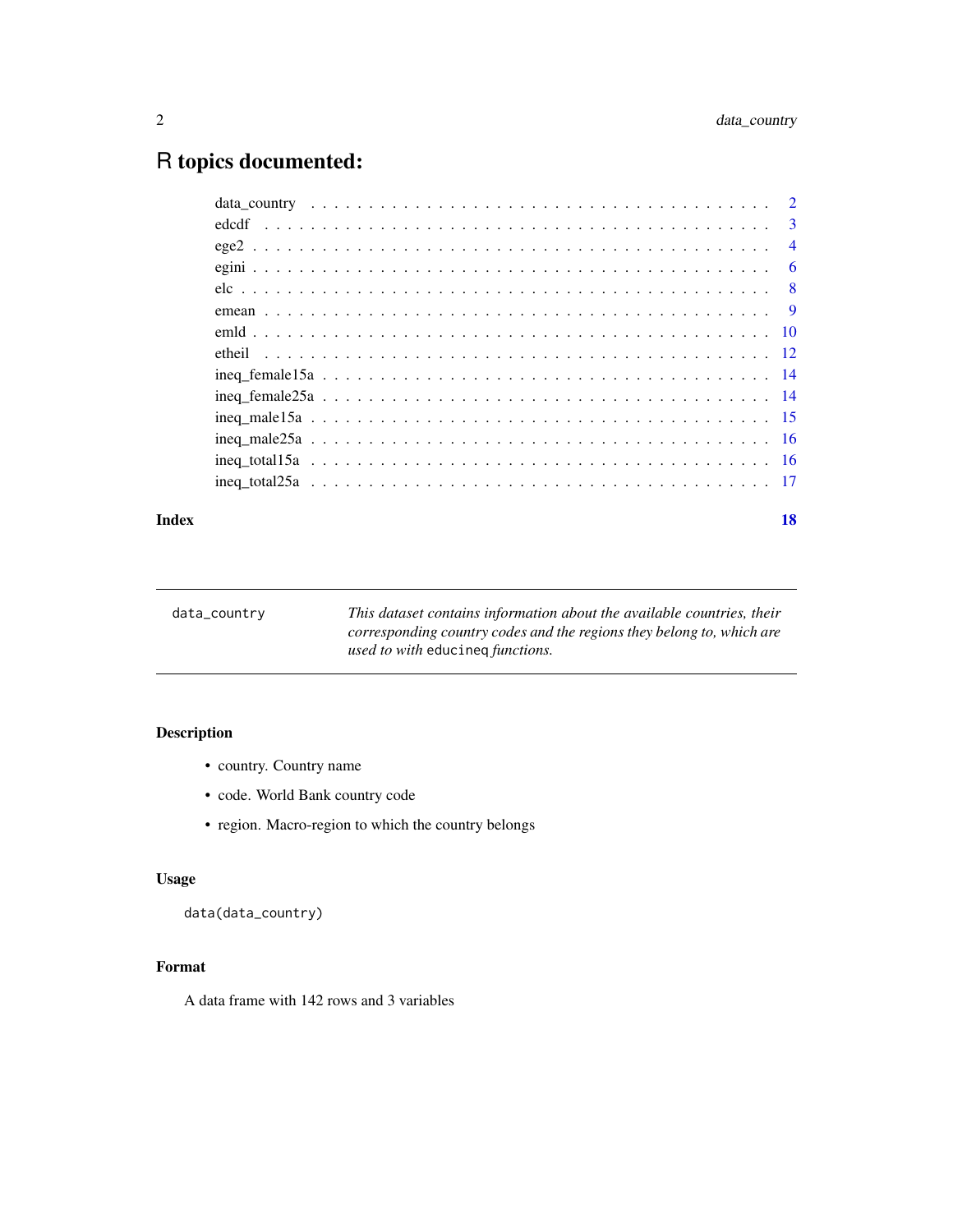# <span id="page-1-0"></span>R topics documented:

#### **Index** 2008 **[18](#page-17-0)**

<span id="page-1-1"></span>

| data_country | This dataset contains information about the available countries, their |
|--------------|------------------------------------------------------------------------|
|              | corresponding country codes and the regions they belong to, which are  |
|              | <i>used to with educineg functions.</i>                                |
|              |                                                                        |

# Description

- country. Country name
- code. World Bank country code
- region. Macro-region to which the country belongs

# Usage

data(data\_country)

# Format

A data frame with 142 rows and 3 variables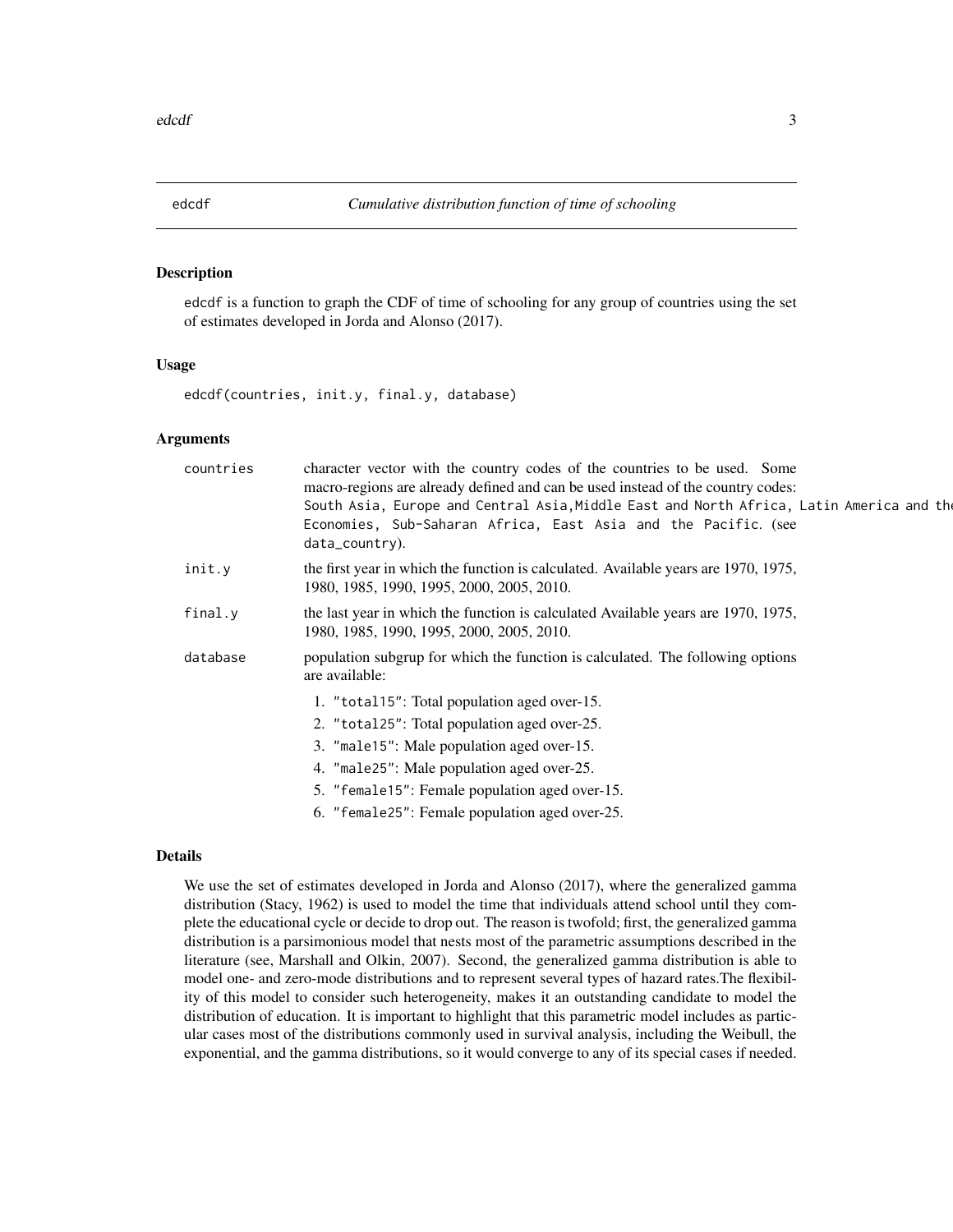<span id="page-2-0"></span>

# Description

edcdf is a function to graph the CDF of time of schooling for any group of countries using the set of estimates developed in Jorda and Alonso (2017).

#### Usage

edcdf(countries, init.y, final.y, database)

#### Arguments

| countries | character vector with the country codes of the countries to be used. Some<br>macro-regions are already defined and can be used instead of the country codes:<br>South Asia, Europe and Central Asia, Middle East and North Africa, Latin America and the<br>Economies, Sub-Saharan Africa, East Asia and the Pacific. (see<br>data_country). |
|-----------|----------------------------------------------------------------------------------------------------------------------------------------------------------------------------------------------------------------------------------------------------------------------------------------------------------------------------------------------|
| init.y    | the first year in which the function is calculated. Available years are 1970, 1975,<br>1980, 1985, 1990, 1995, 2000, 2005, 2010.                                                                                                                                                                                                             |
| final.y   | the last year in which the function is calculated Available years are 1970, 1975,<br>1980, 1985, 1990, 1995, 2000, 2005, 2010.                                                                                                                                                                                                               |
| database  | population subgrup for which the function is calculated. The following options<br>are available:                                                                                                                                                                                                                                             |
|           | 1. "total15": Total population aged over-15.                                                                                                                                                                                                                                                                                                 |
|           | 2. "total25": Total population aged over-25.                                                                                                                                                                                                                                                                                                 |
|           | 3. "male15": Male population aged over-15.                                                                                                                                                                                                                                                                                                   |
|           | 4. "male25": Male population aged over-25.                                                                                                                                                                                                                                                                                                   |
|           | 5. "female15": Female population aged over-15.                                                                                                                                                                                                                                                                                               |
|           | 6. "female25": Female population aged over-25.                                                                                                                                                                                                                                                                                               |

# Details

We use the set of estimates developed in Jorda and Alonso (2017), where the generalized gamma distribution (Stacy, 1962) is used to model the time that individuals attend school until they complete the educational cycle or decide to drop out. The reason is twofold; first, the generalized gamma distribution is a parsimonious model that nests most of the parametric assumptions described in the literature (see, Marshall and Olkin, 2007). Second, the generalized gamma distribution is able to model one- and zero-mode distributions and to represent several types of hazard rates.The flexibility of this model to consider such heterogeneity, makes it an outstanding candidate to model the distribution of education. It is important to highlight that this parametric model includes as particular cases most of the distributions commonly used in survival analysis, including the Weibull, the exponential, and the gamma distributions, so it would converge to any of its special cases if needed.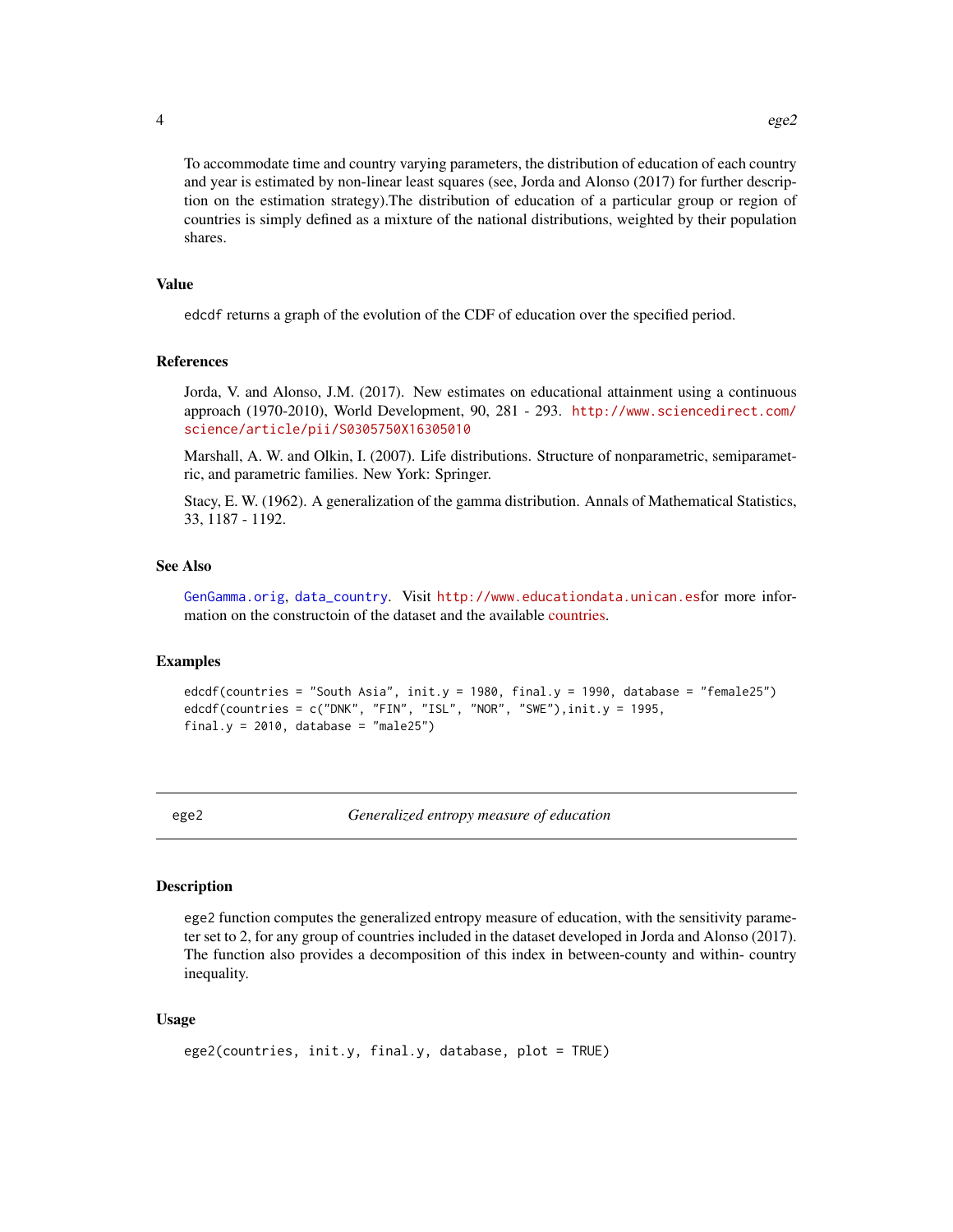<span id="page-3-0"></span> $4 \qquad \qquad \text{ege2}$ 

To accommodate time and country varying parameters, the distribution of education of each country and year is estimated by non-linear least squares (see, Jorda and Alonso (2017) for further description on the estimation strategy).The distribution of education of a particular group or region of countries is simply defined as a mixture of the national distributions, weighted by their population shares.

# Value

edcdf returns a graph of the evolution of the CDF of education over the specified period.

#### References

Jorda, V. and Alonso, J.M. (2017). New estimates on educational attainment using a continuous approach (1970-2010), World Development, 90, 281 - 293. [http://www.sciencedirect.com/](http://www.sciencedirect.com/science/article/pii/S0305750X16305010) [science/article/pii/S0305750X16305010](http://www.sciencedirect.com/science/article/pii/S0305750X16305010)

Marshall, A. W. and Olkin, I. (2007). Life distributions. Structure of nonparametric, semiparametric, and parametric families. New York: Springer.

Stacy, E. W. (1962). A generalization of the gamma distribution. Annals of Mathematical Statistics, 33, 1187 - 1192.

#### See Also

[GenGamma.orig](#page-0-0), [data\\_country](#page-1-1). Visit <http://www.educationdata.unican.es>for more information on the constructoin of the dataset and the available [countries.](http://www.educationdata.unican.es/countries)

# Examples

```
edcdf(countries = "South Asia", init.y = 1980, final.y = 1990, database = "female25")
edcdf(countries = c("DNK", "FIN", "ISL", "NOR", "SWE"), init.y = 1995,final.y = 2010, database = "male25")
```
ege2 *Generalized entropy measure of education*

#### Description

ege2 function computes the generalized entropy measure of education, with the sensitivity parameter set to 2, for any group of countries included in the dataset developed in Jorda and Alonso (2017). The function also provides a decomposition of this index in between-county and within- country inequality.

#### Usage

```
ege2(countries, init.y, final.y, database, plot = TRUE)
```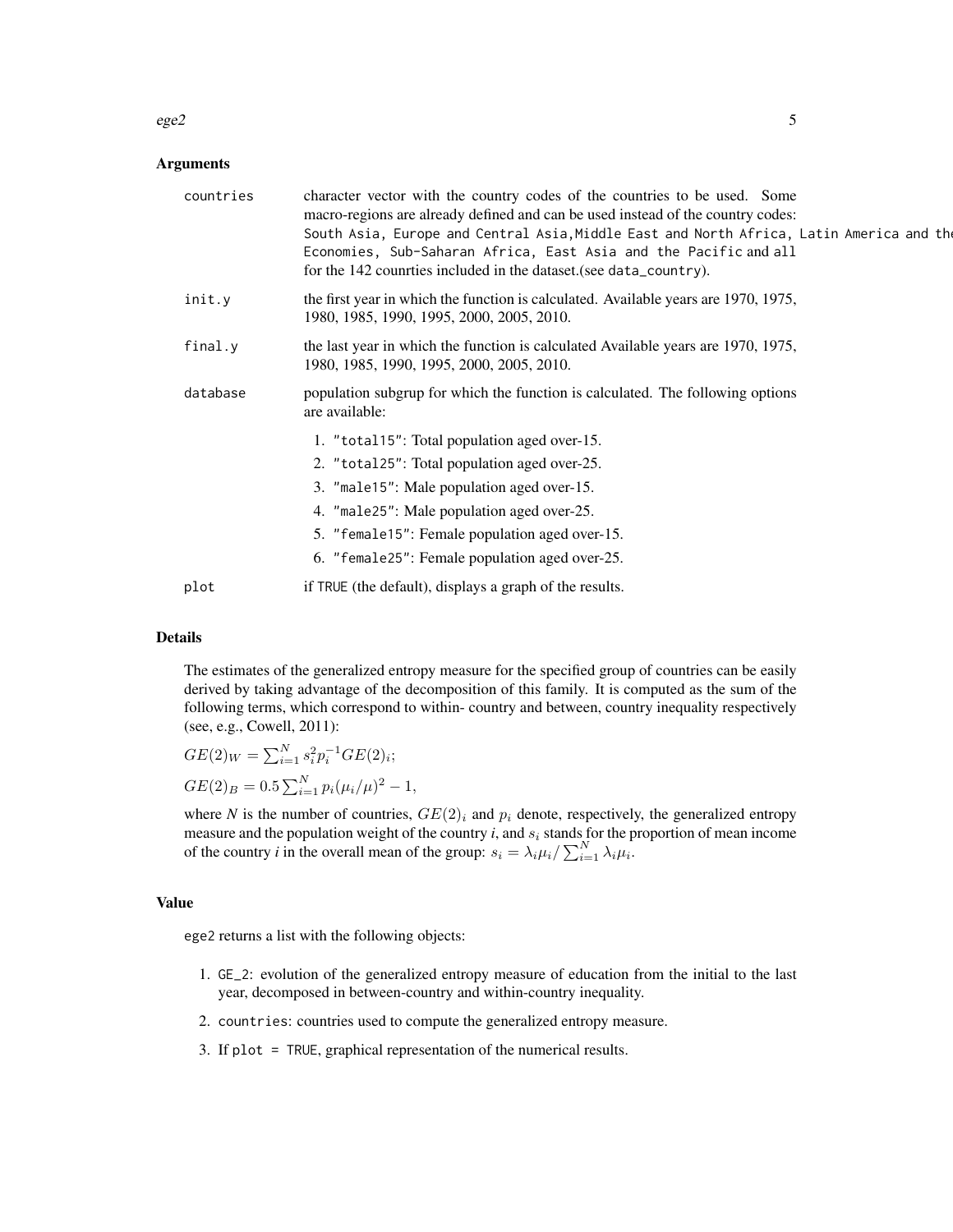#### $e$ ge2 5

#### Arguments

| countries | character vector with the country codes of the countries to be used. Some<br>macro-regions are already defined and can be used instead of the country codes:<br>South Asia, Europe and Central Asia, Middle East and North Africa, Latin America and the<br>Economies, Sub-Saharan Africa, East Asia and the Pacific and all<br>for the 142 countries included in the dataset (see data_country). |
|-----------|---------------------------------------------------------------------------------------------------------------------------------------------------------------------------------------------------------------------------------------------------------------------------------------------------------------------------------------------------------------------------------------------------|
| init.y    | the first year in which the function is calculated. Available years are 1970, 1975,<br>1980, 1985, 1990, 1995, 2000, 2005, 2010.                                                                                                                                                                                                                                                                  |
| final.y   | the last year in which the function is calculated Available years are 1970, 1975,<br>1980, 1985, 1990, 1995, 2000, 2005, 2010.                                                                                                                                                                                                                                                                    |
| database  | population subgrup for which the function is calculated. The following options<br>are available:                                                                                                                                                                                                                                                                                                  |
|           | 1. "total15": Total population aged over-15.                                                                                                                                                                                                                                                                                                                                                      |
|           | 2. "total25": Total population aged over-25.                                                                                                                                                                                                                                                                                                                                                      |
|           | 3. "male15": Male population aged over-15.                                                                                                                                                                                                                                                                                                                                                        |
|           | 4. "male25": Male population aged over-25.                                                                                                                                                                                                                                                                                                                                                        |
|           | 5. "female15": Female population aged over-15.                                                                                                                                                                                                                                                                                                                                                    |
|           | 6. "female25": Female population aged over-25.                                                                                                                                                                                                                                                                                                                                                    |
| plot      | if TRUE (the default), displays a graph of the results.                                                                                                                                                                                                                                                                                                                                           |

# Details

The estimates of the generalized entropy measure for the specified group of countries can be easily derived by taking advantage of the decomposition of this family. It is computed as the sum of the following terms, which correspond to within- country and between, country inequality respectively (see, e.g., Cowell, 2011):

$$
GE(2)_W = \sum_{i=1}^N s_i^2 p_i^{-1} GE(2)_i;
$$
  
\n
$$
GE(2)_B = 0.5 \sum_{i=1}^N p_i (\mu_i / \mu)^2 - 1,
$$

where *N* is the number of countries,  $GE(2)_i$  and  $p_i$  denote, respectively, the generalized entropy measure and the population weight of the country  $i$ , and  $s_i$  stands for the proportion of mean income of the country *i* in the overall mean of the group:  $s_i = \lambda_i \mu_i / \sum_{i=1}^N \lambda_i \mu_i$ .

# Value

ege2 returns a list with the following objects:

- 1. GE\_2: evolution of the generalized entropy measure of education from the initial to the last year, decomposed in between-country and within-country inequality.
- 2. countries: countries used to compute the generalized entropy measure.
- 3. If plot = TRUE, graphical representation of the numerical results.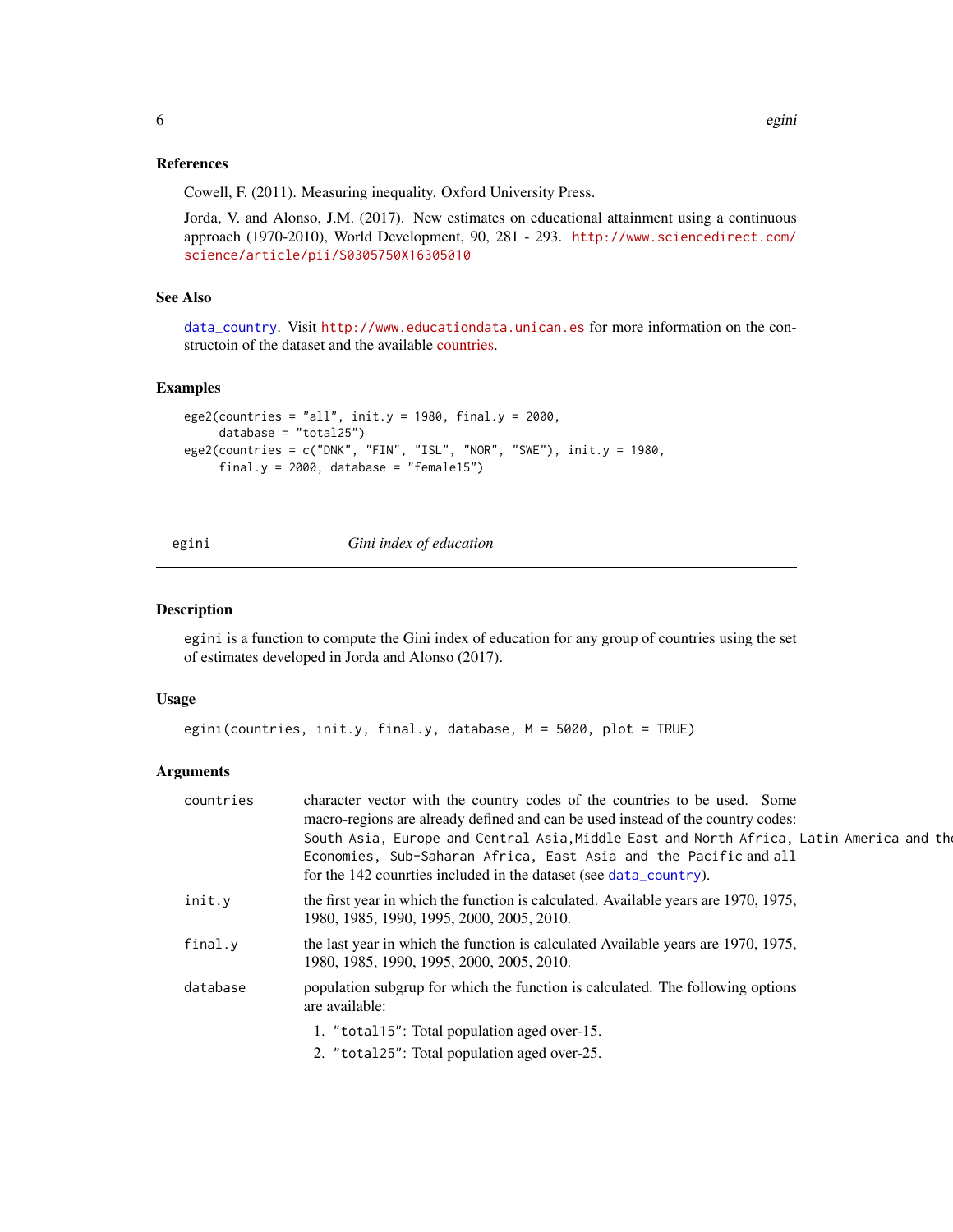# <span id="page-5-0"></span>References

Cowell, F. (2011). Measuring inequality. Oxford University Press.

Jorda, V. and Alonso, J.M. (2017). New estimates on educational attainment using a continuous approach (1970-2010), World Development, 90, 281 - 293. [http://www.sciencedirect.com/](http://www.sciencedirect.com/science/article/pii/S0305750X16305010) [science/article/pii/S0305750X16305010](http://www.sciencedirect.com/science/article/pii/S0305750X16305010)

### See Also

[data\\_country](#page-1-1). Visit <http://www.educationdata.unican.es> for more information on the constructoin of the dataset and the available [countries.](http://www.educationdata.unican.es/countries)

### Examples

```
ege2(countries = "all", init.y = 1980, final.y = 2000,
     database = "total25")
ege2(countries = c("DNK", "FIN", "ISL", "NOR", "SWE"), init.y = 1980,
     final.y = 2000, database = "female15")
```
egini *Gini index of education*

#### Description

egini is a function to compute the Gini index of education for any group of countries using the set of estimates developed in Jorda and Alonso (2017).

#### Usage

```
egini(countries, init.y, final.y, database, M = 5000, plot = TRUE)
```
#### **Arguments**

| countries | character vector with the country codes of the countries to be used. Some<br>macro-regions are already defined and can be used instead of the country codes:                                                                      |
|-----------|-----------------------------------------------------------------------------------------------------------------------------------------------------------------------------------------------------------------------------------|
|           | South Asia, Europe and Central Asia, Middle East and North Africa, Latin America and the<br>Economies, Sub-Saharan Africa, East Asia and the Pacific and all<br>for the 142 countries included in the dataset (see data_country). |
| init.v    | the first year in which the function is calculated. Available years are 1970, 1975,<br>1980, 1985, 1990, 1995, 2000, 2005, 2010.                                                                                                  |
| final.v   | the last year in which the function is calculated Available years are 1970, 1975,<br>1980, 1985, 1990, 1995, 2000, 2005, 2010.                                                                                                    |
| database  | population subgrup for which the function is calculated. The following options<br>are available:                                                                                                                                  |
|           | 1. "total15": Total population aged over-15.                                                                                                                                                                                      |
|           | 2. "total25": Total population aged over-25.                                                                                                                                                                                      |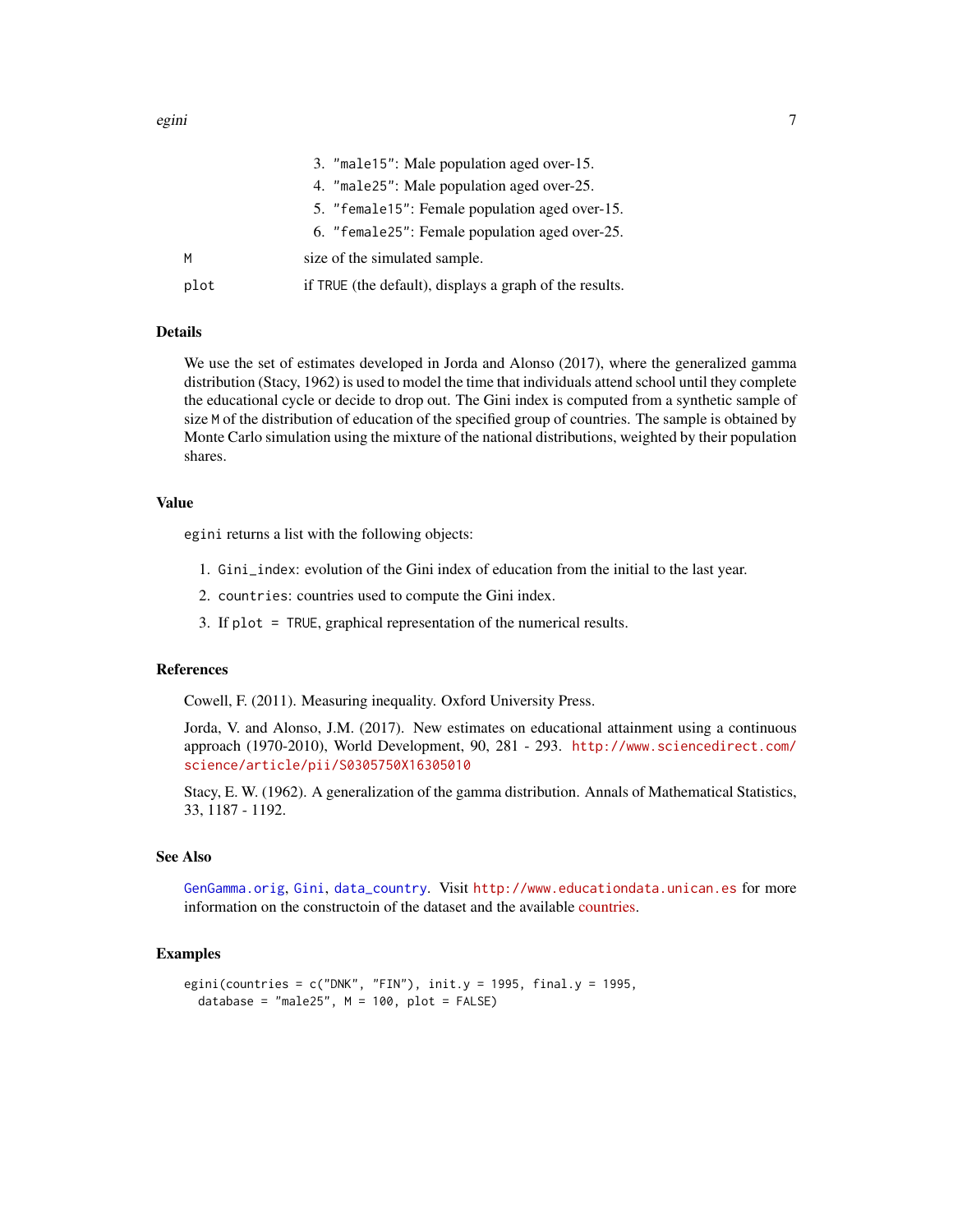<span id="page-6-0"></span>

|      | 3. "male15": Male population aged over-15.              |
|------|---------------------------------------------------------|
|      | 4. "male25": Male population aged over-25.              |
|      | 5. "female15": Female population aged over-15.          |
|      | 6. "female25": Female population aged over-25.          |
| м    | size of the simulated sample.                           |
| plot | if TRUE (the default), displays a graph of the results. |

#### Details

We use the set of estimates developed in Jorda and Alonso (2017), where the generalized gamma distribution (Stacy, 1962) is used to model the time that individuals attend school until they complete the educational cycle or decide to drop out. The Gini index is computed from a synthetic sample of size M of the distribution of education of the specified group of countries. The sample is obtained by Monte Carlo simulation using the mixture of the national distributions, weighted by their population shares.

### Value

egini returns a list with the following objects:

- 1. Gini\_index: evolution of the Gini index of education from the initial to the last year.
- 2. countries: countries used to compute the Gini index.
- 3. If plot = TRUE, graphical representation of the numerical results.

#### References

Cowell, F. (2011). Measuring inequality. Oxford University Press.

Jorda, V. and Alonso, J.M. (2017). New estimates on educational attainment using a continuous approach (1970-2010), World Development, 90, 281 - 293. [http://www.sciencedirect.com/](http://www.sciencedirect.com/science/article/pii/S0305750X16305010) [science/article/pii/S0305750X16305010](http://www.sciencedirect.com/science/article/pii/S0305750X16305010)

Stacy, E. W. (1962). A generalization of the gamma distribution. Annals of Mathematical Statistics, 33, 1187 - 1192.

#### See Also

[GenGamma.orig](#page-0-0), [Gini](#page-0-0), [data\\_country](#page-1-1). Visit <http://www.educationdata.unican.es> for more information on the constructoin of the dataset and the available [countries.](http://www.educationdata.unican.es/countries)

#### Examples

```
egini(countries = c("DNK", "FIN"), init.y = 1995, final.y = 1995,
 database = "male25", M = 100, plot = FALSE)
```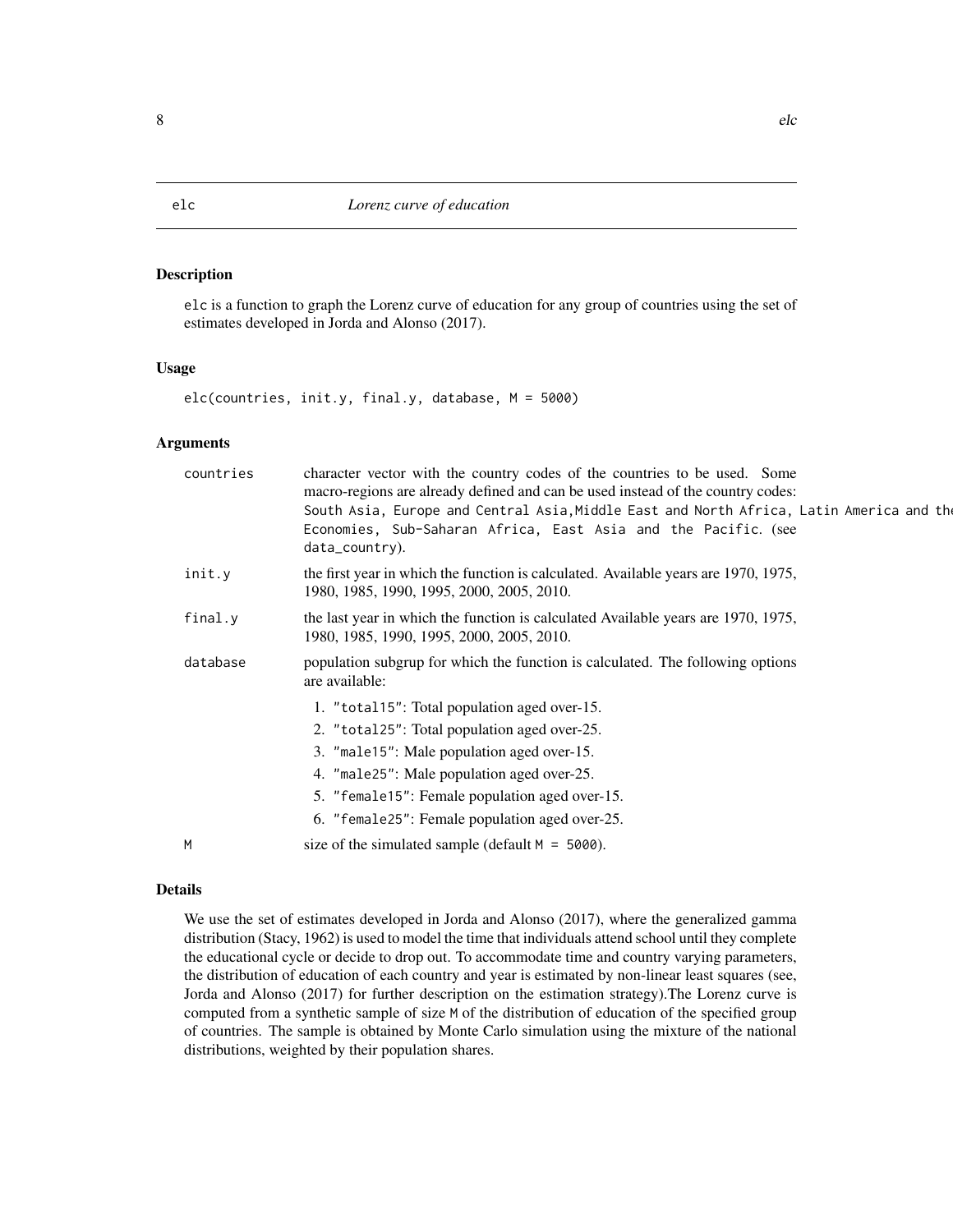# <span id="page-7-0"></span>Description

elc is a function to graph the Lorenz curve of education for any group of countries using the set of estimates developed in Jorda and Alonso (2017).

#### Usage

elc(countries, init.y, final.y, database, M = 5000)

#### Arguments

| the first year in which the function is calculated. Available years are 1970, 1975,<br>init.y<br>1980, 1985, 1990, 1995, 2000, 2005, 2010.<br>the last year in which the function is calculated Available years are 1970, 1975,<br>final.y<br>1980, 1985, 1990, 1995, 2000, 2005, 2010.<br>population subgrup for which the function is calculated. The following options<br>database<br>are available:<br>1. "total15": Total population aged over-15.<br>2. "total25": Total population aged over-25.<br>3. "male15": Male population aged over-15.<br>4. "male25": Male population aged over-25.<br>5. "female15": Female population aged over-15.<br>6. "female25": Female population aged over-25.<br>size of the simulated sample (default $M = 5000$ ).<br>M | countries | character vector with the country codes of the countries to be used. Some<br>macro-regions are already defined and can be used instead of the country codes:<br>South Asia, Europe and Central Asia, Middle East and North Africa, Latin America and the<br>Economies, Sub-Saharan Africa, East Asia and the Pacific. (see<br>data_country). |
|---------------------------------------------------------------------------------------------------------------------------------------------------------------------------------------------------------------------------------------------------------------------------------------------------------------------------------------------------------------------------------------------------------------------------------------------------------------------------------------------------------------------------------------------------------------------------------------------------------------------------------------------------------------------------------------------------------------------------------------------------------------------|-----------|----------------------------------------------------------------------------------------------------------------------------------------------------------------------------------------------------------------------------------------------------------------------------------------------------------------------------------------------|
|                                                                                                                                                                                                                                                                                                                                                                                                                                                                                                                                                                                                                                                                                                                                                                     |           |                                                                                                                                                                                                                                                                                                                                              |
|                                                                                                                                                                                                                                                                                                                                                                                                                                                                                                                                                                                                                                                                                                                                                                     |           |                                                                                                                                                                                                                                                                                                                                              |
|                                                                                                                                                                                                                                                                                                                                                                                                                                                                                                                                                                                                                                                                                                                                                                     |           |                                                                                                                                                                                                                                                                                                                                              |
|                                                                                                                                                                                                                                                                                                                                                                                                                                                                                                                                                                                                                                                                                                                                                                     |           |                                                                                                                                                                                                                                                                                                                                              |
|                                                                                                                                                                                                                                                                                                                                                                                                                                                                                                                                                                                                                                                                                                                                                                     |           |                                                                                                                                                                                                                                                                                                                                              |

# Details

We use the set of estimates developed in Jorda and Alonso (2017), where the generalized gamma distribution (Stacy, 1962) is used to model the time that individuals attend school until they complete the educational cycle or decide to drop out. To accommodate time and country varying parameters, the distribution of education of each country and year is estimated by non-linear least squares (see, Jorda and Alonso (2017) for further description on the estimation strategy).The Lorenz curve is computed from a synthetic sample of size M of the distribution of education of the specified group of countries. The sample is obtained by Monte Carlo simulation using the mixture of the national distributions, weighted by their population shares.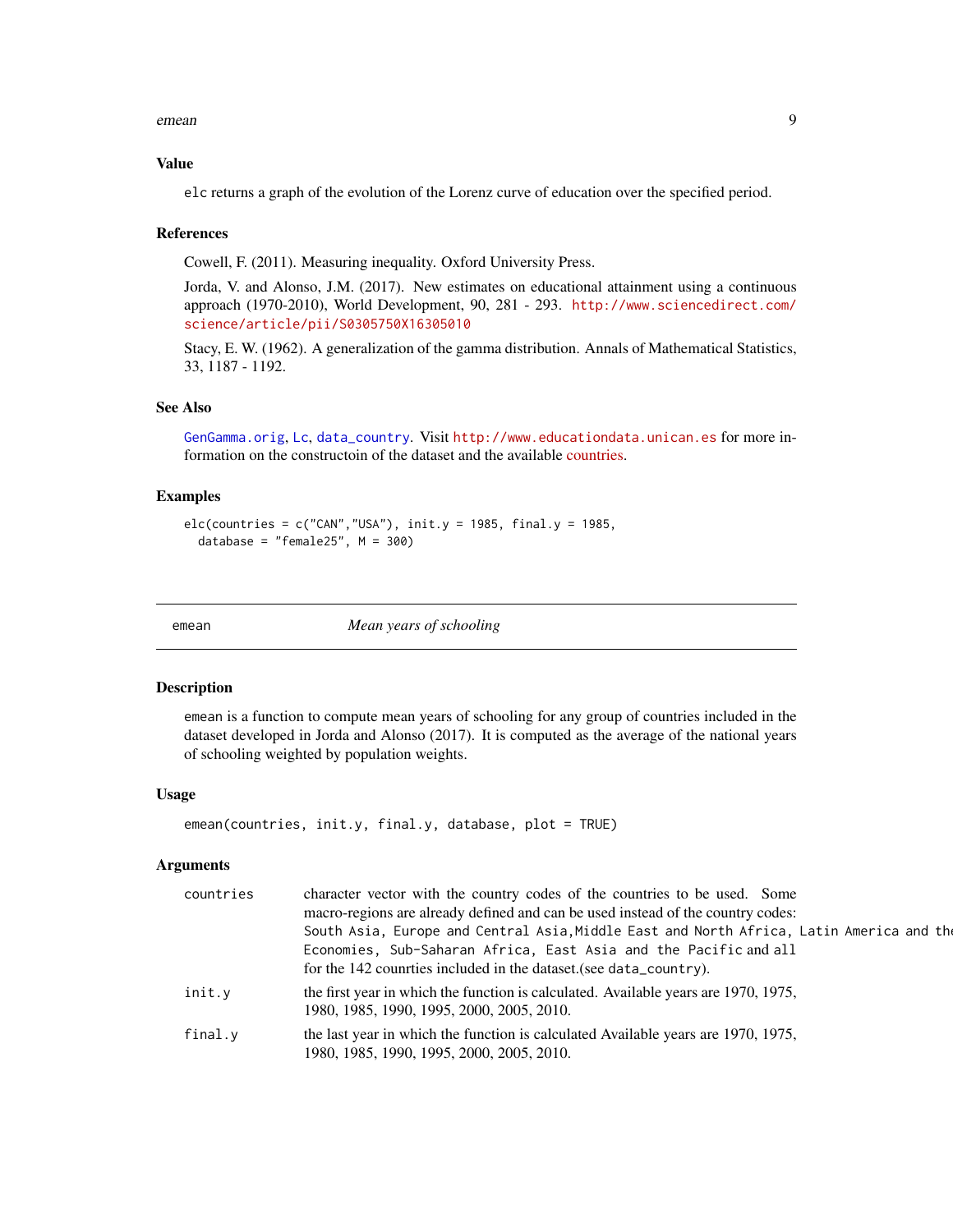<span id="page-8-0"></span>emean 99

#### Value

elc returns a graph of the evolution of the Lorenz curve of education over the specified period.

#### References

Cowell, F. (2011). Measuring inequality. Oxford University Press.

Jorda, V. and Alonso, J.M. (2017). New estimates on educational attainment using a continuous approach (1970-2010), World Development, 90, 281 - 293. [http://www.sciencedirect.com/](http://www.sciencedirect.com/science/article/pii/S0305750X16305010) [science/article/pii/S0305750X16305010](http://www.sciencedirect.com/science/article/pii/S0305750X16305010)

Stacy, E. W. (1962). A generalization of the gamma distribution. Annals of Mathematical Statistics, 33, 1187 - 1192.

# See Also

[GenGamma.orig](#page-0-0), [Lc](#page-0-0), [data\\_country](#page-1-1). Visit <http://www.educationdata.unican.es> for more information on the constructoin of the dataset and the available [countries.](http://www.educationdata.unican.es/countries)

# Examples

```
elc(countries = c("CAN", "USA"), init.y = 1985, final.y = 1985,database = "female25", M = 300)
```
emean *Mean years of schooling*

#### Description

emean is a function to compute mean years of schooling for any group of countries included in the dataset developed in Jorda and Alonso (2017). It is computed as the average of the national years of schooling weighted by population weights.

#### Usage

```
emean(countries, init.y, final.y, database, plot = TRUE)
```
#### Arguments

| countries | character vector with the country codes of the countries to be used. Some<br>macro-regions are already defined and can be used instead of the country codes:<br>South Asia, Europe and Central Asia, Middle East and North Africa, Latin America and the<br>Economies, Sub-Saharan Africa, East Asia and the Pacific and all<br>for the 142 counties included in the dataset (see data_country). |
|-----------|--------------------------------------------------------------------------------------------------------------------------------------------------------------------------------------------------------------------------------------------------------------------------------------------------------------------------------------------------------------------------------------------------|
| init.y    | the first year in which the function is calculated. Available years are 1970, 1975,<br>1980, 1985, 1990, 1995, 2000, 2005, 2010.                                                                                                                                                                                                                                                                 |
| final.v   | the last year in which the function is calculated Available years are 1970, 1975,<br>1980, 1985, 1990, 1995, 2000, 2005, 2010.                                                                                                                                                                                                                                                                   |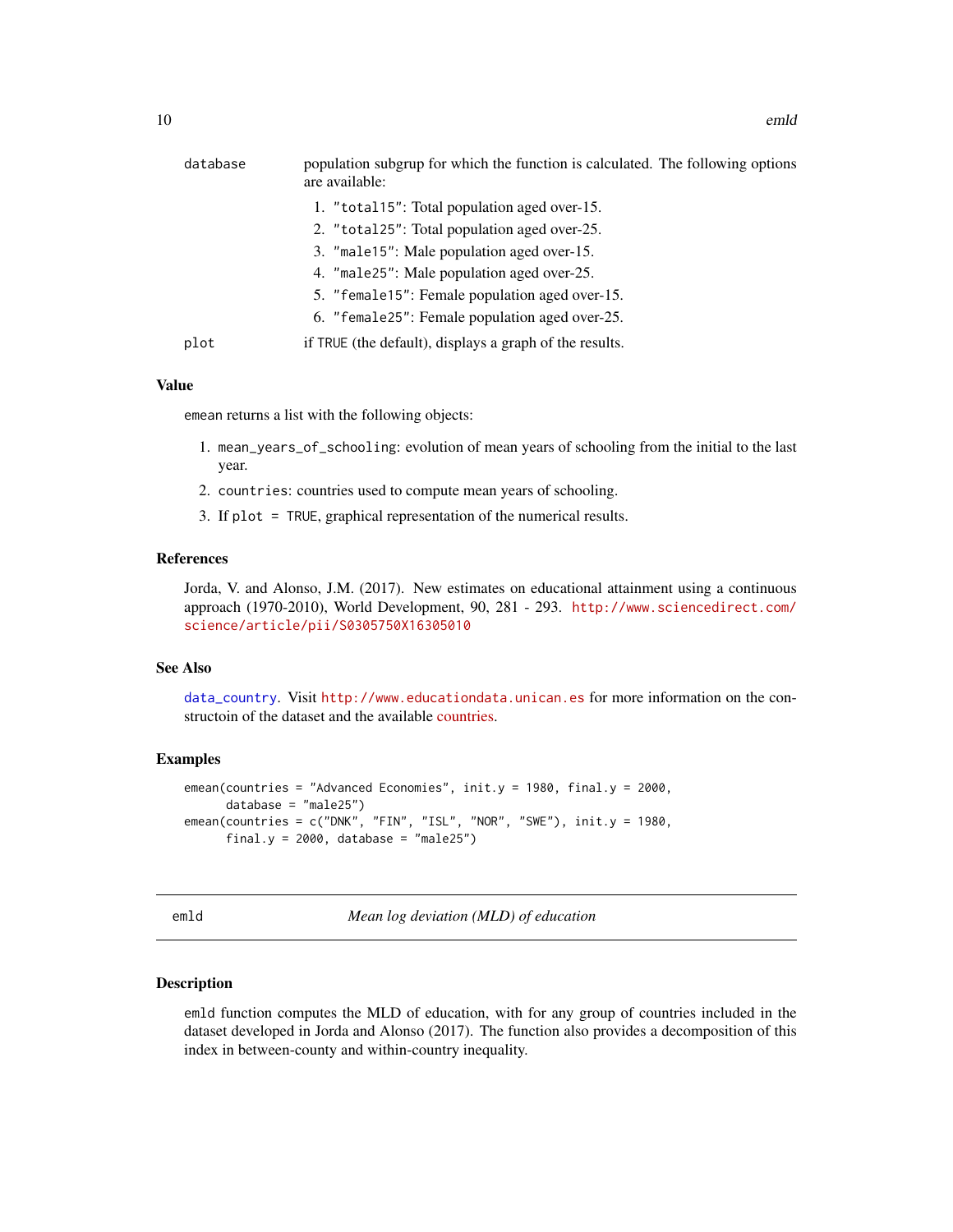<span id="page-9-0"></span>

| database | population subgrup for which the function is calculated. The following options<br>are available: |
|----------|--------------------------------------------------------------------------------------------------|
|          | 1. "total15": Total population aged over-15.                                                     |
|          | 2. "total25": Total population aged over-25.                                                     |
|          | 3. "male15": Male population aged over-15.                                                       |
|          | 4. "male25": Male population aged over-25.                                                       |
|          | 5. "female15": Female population aged over-15.                                                   |
|          | 6. "female25": Female population aged over-25.                                                   |
| plot     | if TRUE (the default), displays a graph of the results.                                          |
|          |                                                                                                  |

#### Value

emean returns a list with the following objects:

- 1. mean\_years\_of\_schooling: evolution of mean years of schooling from the initial to the last year.
- 2. countries: countries used to compute mean years of schooling.
- 3. If plot = TRUE, graphical representation of the numerical results.

#### References

Jorda, V. and Alonso, J.M. (2017). New estimates on educational attainment using a continuous approach (1970-2010), World Development, 90, 281 - 293. [http://www.sciencedirect.com/](http://www.sciencedirect.com/science/article/pii/S0305750X16305010) [science/article/pii/S0305750X16305010](http://www.sciencedirect.com/science/article/pii/S0305750X16305010)

#### See Also

[data\\_country](#page-1-1). Visit <http://www.educationdata.unican.es> for more information on the constructoin of the dataset and the available [countries.](http://www.educationdata.unican.es/countries)

#### Examples

```
emean(countries = "Advanced Economies", init.y = 1980, final.y = 2000,
     database = "male25")
emean(countries = c("DNK", "FIN", "ISL", "NOR", "SWE"), init.y = 1980,final.y = 2000, database = "male25")
```

| $\sim$ | $\sim$ |
|--------|--------|
|--------|--------|

**Mean log deviation (MLD) of education** 

#### **Description**

emld function computes the MLD of education, with for any group of countries included in the dataset developed in Jorda and Alonso (2017). The function also provides a decomposition of this index in between-county and within-country inequality.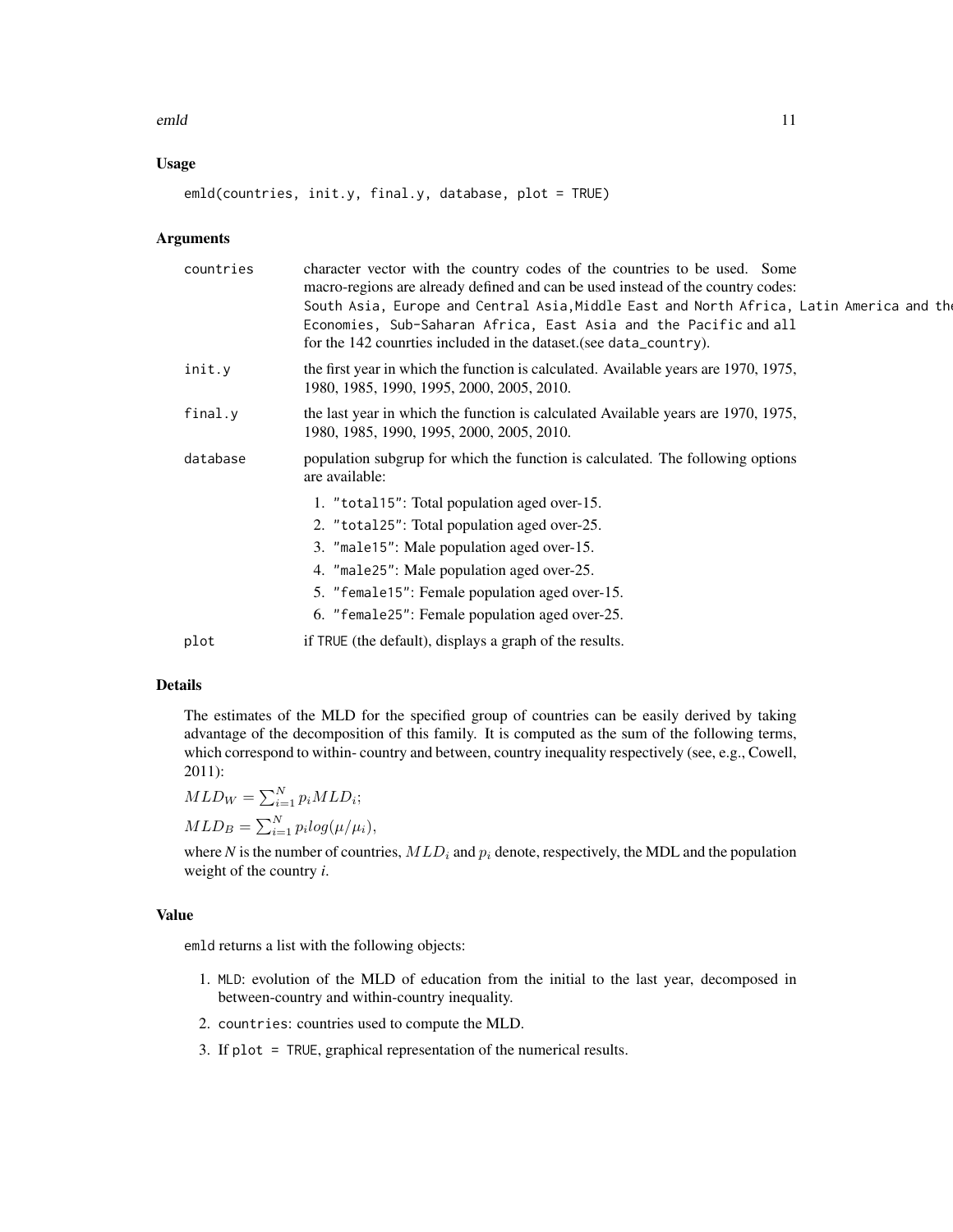emld and the contract of the contract of the contract of the contract of the contract of the contract of the contract of the contract of the contract of the contract of the contract of the contract of the contract of the c

# Usage

emld(countries, init.y, final.y, database, plot = TRUE)

# Arguments

| countries | character vector with the country codes of the countries to be used. Some<br>macro-regions are already defined and can be used instead of the country codes:<br>South Asia, Europe and Central Asia, Middle East and North Africa, Latin America and the<br>Economies, Sub-Saharan Africa, East Asia and the Pacific and all<br>for the 142 countries included in the dataset (see data_country). |
|-----------|---------------------------------------------------------------------------------------------------------------------------------------------------------------------------------------------------------------------------------------------------------------------------------------------------------------------------------------------------------------------------------------------------|
| init.y    | the first year in which the function is calculated. Available years are 1970, 1975,<br>1980, 1985, 1990, 1995, 2000, 2005, 2010.                                                                                                                                                                                                                                                                  |
| final.y   | the last year in which the function is calculated Available years are 1970, 1975,<br>1980, 1985, 1990, 1995, 2000, 2005, 2010.                                                                                                                                                                                                                                                                    |
| database  | population subgrup for which the function is calculated. The following options<br>are available:                                                                                                                                                                                                                                                                                                  |
|           | 1. "total15": Total population aged over-15.                                                                                                                                                                                                                                                                                                                                                      |
|           | 2. "total25": Total population aged over-25.                                                                                                                                                                                                                                                                                                                                                      |
|           | 3. "male15": Male population aged over-15.                                                                                                                                                                                                                                                                                                                                                        |
|           | 4. "male25": Male population aged over-25.                                                                                                                                                                                                                                                                                                                                                        |
|           | 5. "female15": Female population aged over-15.                                                                                                                                                                                                                                                                                                                                                    |
|           | 6. "female25": Female population aged over-25.                                                                                                                                                                                                                                                                                                                                                    |
| plot      | if TRUE (the default), displays a graph of the results.                                                                                                                                                                                                                                                                                                                                           |

# Details

The estimates of the MLD for the specified group of countries can be easily derived by taking advantage of the decomposition of this family. It is computed as the sum of the following terms, which correspond to within- country and between, country inequality respectively (see, e.g., Cowell, 2011):

 $MLD_W = \sum_{i=1}^{N} p_i MLD_i;$  $MLD_B = \sum_{i=1}^{N} p_i log(\mu/\mu_i),$ 

where *N* is the number of countries,  $MLD_i$  and  $p_i$  denote, respectively, the MDL and the population weight of the country *i*.

# Value

emld returns a list with the following objects:

- 1. MLD: evolution of the MLD of education from the initial to the last year, decomposed in between-country and within-country inequality.
- 2. countries: countries used to compute the MLD.
- 3. If plot = TRUE, graphical representation of the numerical results.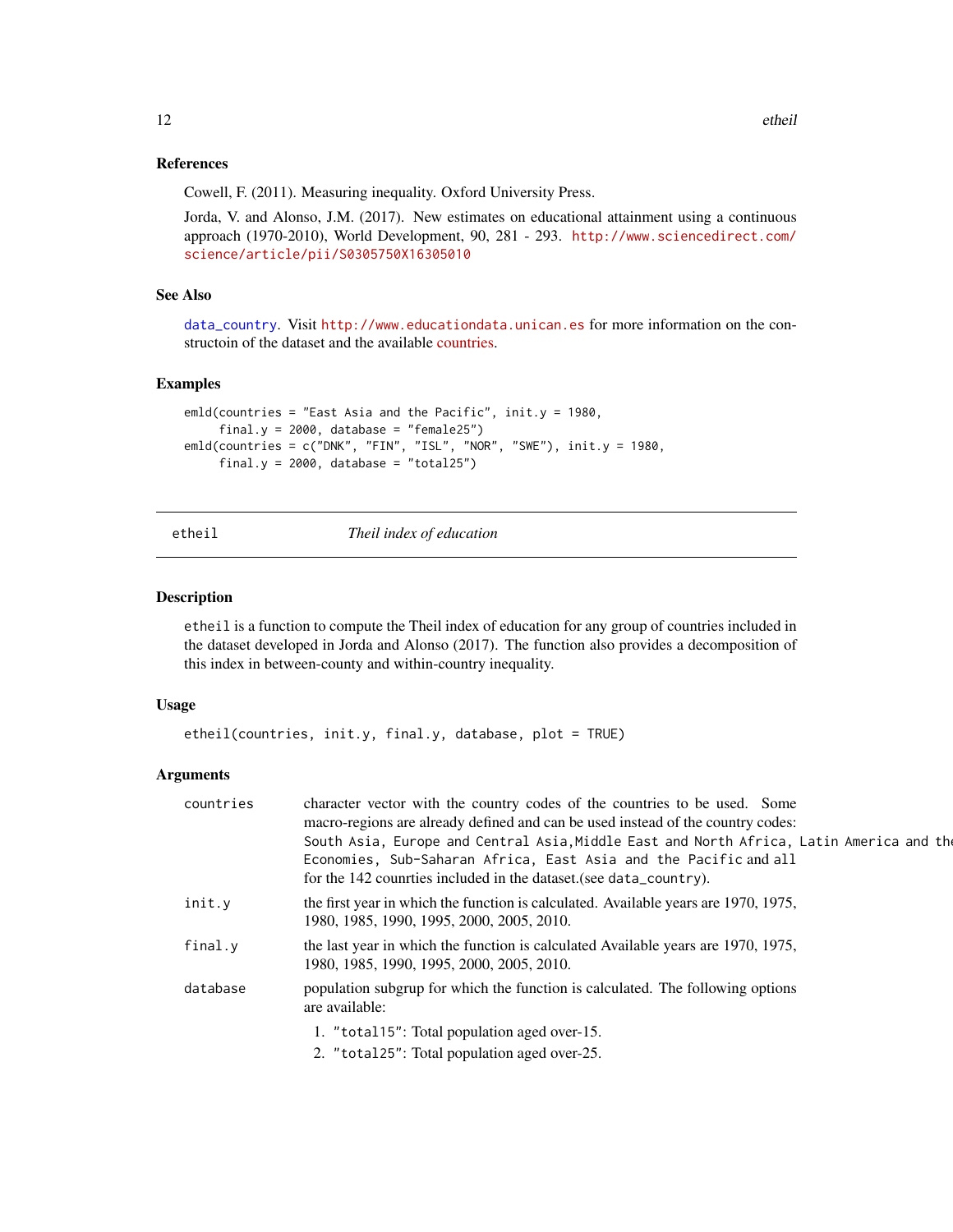#### <span id="page-11-0"></span>References

Cowell, F. (2011). Measuring inequality. Oxford University Press.

Jorda, V. and Alonso, J.M. (2017). New estimates on educational attainment using a continuous approach (1970-2010), World Development, 90, 281 - 293. [http://www.sciencedirect.com/](http://www.sciencedirect.com/science/article/pii/S0305750X16305010) [science/article/pii/S0305750X16305010](http://www.sciencedirect.com/science/article/pii/S0305750X16305010)

### See Also

[data\\_country](#page-1-1). Visit <http://www.educationdata.unican.es> for more information on the constructoin of the dataset and the available [countries.](http://www.educationdata.unican.es/countries)

#### Examples

```
emld(countries = "East Asia and the Pacific", init.y = 1980,
     final.y = 2000, database = "female25")
emld(countries = c("DNK", "FIN", "ISL", "NOR", "SWE"), init.y = 1980,final.y = 2000, database = "total25")
```
etheil *Theil index of education*

#### Description

etheil is a function to compute the Theil index of education for any group of countries included in the dataset developed in Jorda and Alonso (2017). The function also provides a decomposition of this index in between-county and within-country inequality.

#### Usage

```
etheil(countries, init.y, final.y, database, plot = TRUE)
```
#### Arguments

| countries | character vector with the country codes of the countries to be used. Some<br>macro-regions are already defined and can be used instead of the country codes:<br>South Asia, Europe and Central Asia, Middle East and North Africa, Latin America and the<br>Economies, Sub-Saharan Africa, East Asia and the Pacific and all<br>for the 142 counties included in the dataset (see data_country). |
|-----------|--------------------------------------------------------------------------------------------------------------------------------------------------------------------------------------------------------------------------------------------------------------------------------------------------------------------------------------------------------------------------------------------------|
| init.y    | the first year in which the function is calculated. Available years are 1970, 1975,<br>1980, 1985, 1990, 1995, 2000, 2005, 2010.                                                                                                                                                                                                                                                                 |
| final.y   | the last year in which the function is calculated Available years are 1970, 1975,<br>1980, 1985, 1990, 1995, 2000, 2005, 2010.                                                                                                                                                                                                                                                                   |
| database  | population subgrup for which the function is calculated. The following options<br>are available:                                                                                                                                                                                                                                                                                                 |
|           | 1. "total15": Total population aged over-15.                                                                                                                                                                                                                                                                                                                                                     |
|           | 2. "total25": Total population aged over-25.                                                                                                                                                                                                                                                                                                                                                     |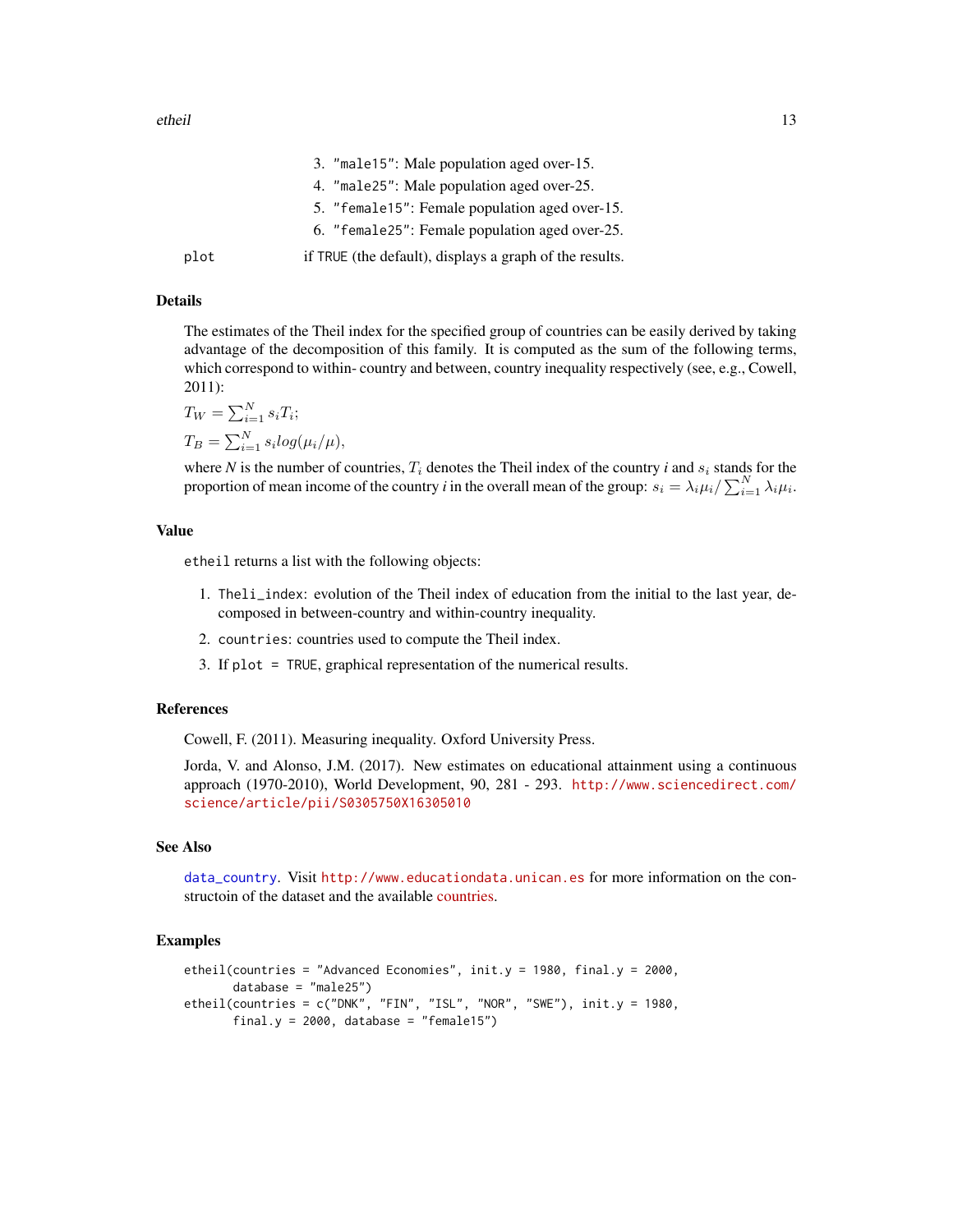<span id="page-12-0"></span>

|      | 3. "male15": Male population aged over-15.              |
|------|---------------------------------------------------------|
|      | 4. "male25": Male population aged over-25.              |
|      | 5. "female15": Female population aged over-15.          |
|      | 6. "female25": Female population aged over-25.          |
| plot | if TRUE (the default), displays a graph of the results. |

# Details

The estimates of the Theil index for the specified group of countries can be easily derived by taking advantage of the decomposition of this family. It is computed as the sum of the following terms, which correspond to within- country and between, country inequality respectively (see, e.g., Cowell, 2011):

$$
T_W = \sum_{i=1}^{N} s_i T_i;
$$
  
\n
$$
T_B = \sum_{i=1}^{N} s_i \log(\mu_i / \mu),
$$

where *N* is the number of countries,  $T_i$  denotes the Theil index of the country *i* and  $s_i$  stands for the proportion of mean income of the country *i* in the overall mean of the group:  $s_i = \lambda_i \mu_i / \sum_{i=1}^N \lambda_i \mu_i$ .

# Value

etheil returns a list with the following objects:

- 1. Theli\_index: evolution of the Theil index of education from the initial to the last year, decomposed in between-country and within-country inequality.
- 2. countries: countries used to compute the Theil index.
- 3. If plot = TRUE, graphical representation of the numerical results.

#### References

Cowell, F. (2011). Measuring inequality. Oxford University Press.

Jorda, V. and Alonso, J.M. (2017). New estimates on educational attainment using a continuous approach (1970-2010), World Development, 90, 281 - 293. [http://www.sciencedirect.com/](http://www.sciencedirect.com/science/article/pii/S0305750X16305010) [science/article/pii/S0305750X16305010](http://www.sciencedirect.com/science/article/pii/S0305750X16305010)

# See Also

[data\\_country](#page-1-1). Visit <http://www.educationdata.unican.es> for more information on the constructoin of the dataset and the available [countries.](http://www.educationdata.unican.es/countries)

#### Examples

```
etheil(countries = "Advanced Economies", init.y = 1980, final.y = 2000,
      database = "male25")
etheil(countries = c("DNK", "FIN", "ISL", "NOR", "SWE"), init.y = 1980,final.y = 2000, database = "female15")
```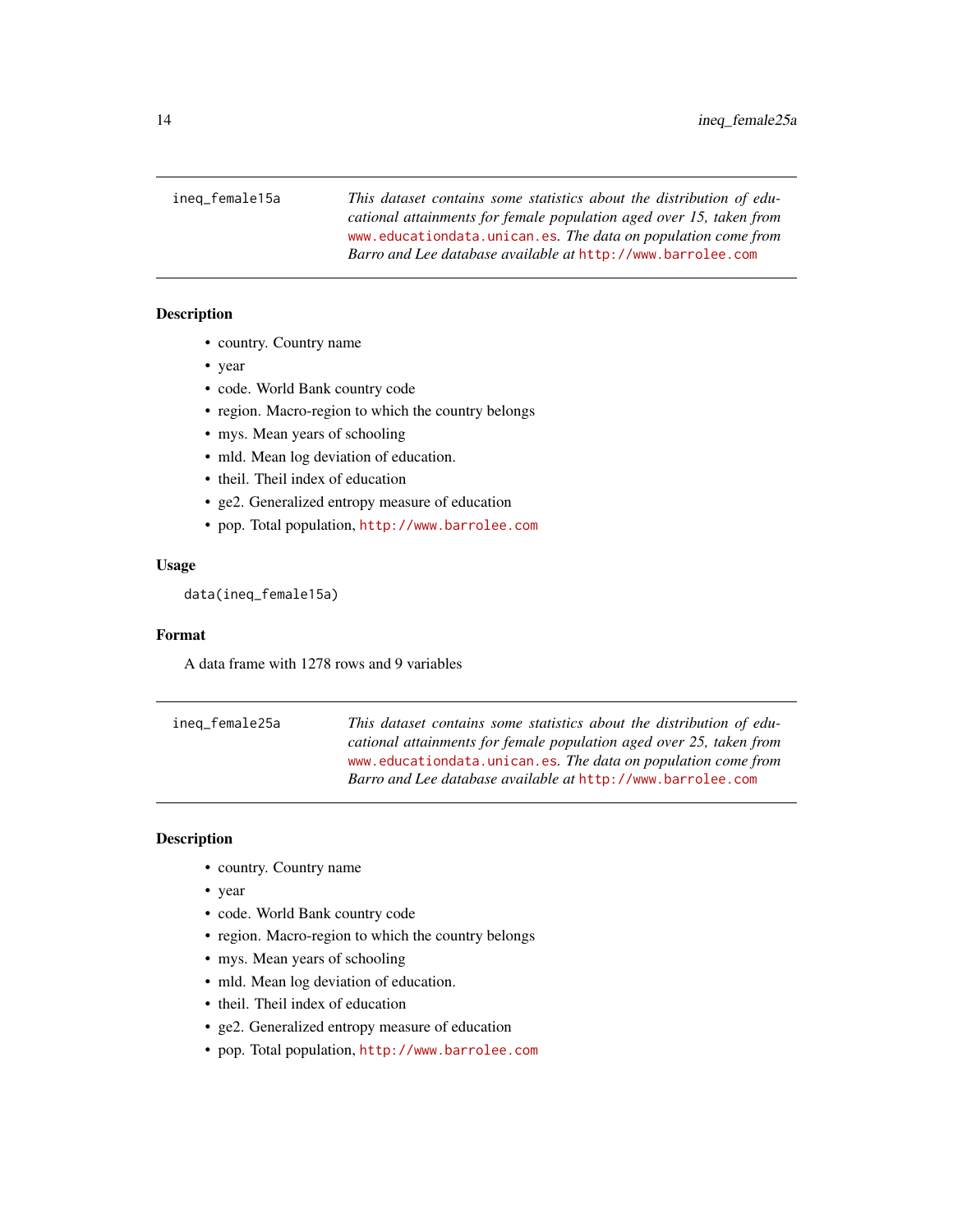<span id="page-13-0"></span>ineq\_female15a *This dataset contains some statistics about the distribution of educational attainments for female population aged over 15, taken from* <www.educationdata.unican.es>*. The data on population come from Barro and Lee database available at* <http://www.barrolee.com>

# Description

- country. Country name
- year
- code. World Bank country code
- region. Macro-region to which the country belongs
- mys. Mean years of schooling
- mld. Mean log deviation of education.
- theil. Theil index of education
- ge2. Generalized entropy measure of education
- pop. Total population, <http://www.barrolee.com>

### Usage

data(ineq\_female15a)

# Format

A data frame with 1278 rows and 9 variables

ineq\_female25a *This dataset contains some statistics about the distribution of educational attainments for female population aged over 25, taken from* <www.educationdata.unican.es>*. The data on population come from Barro and Lee database available at* <http://www.barrolee.com>

# Description

- country. Country name
- year
- code. World Bank country code
- region. Macro-region to which the country belongs
- mys. Mean years of schooling
- mld. Mean log deviation of education.
- theil. Theil index of education
- ge2. Generalized entropy measure of education
- pop. Total population, <http://www.barrolee.com>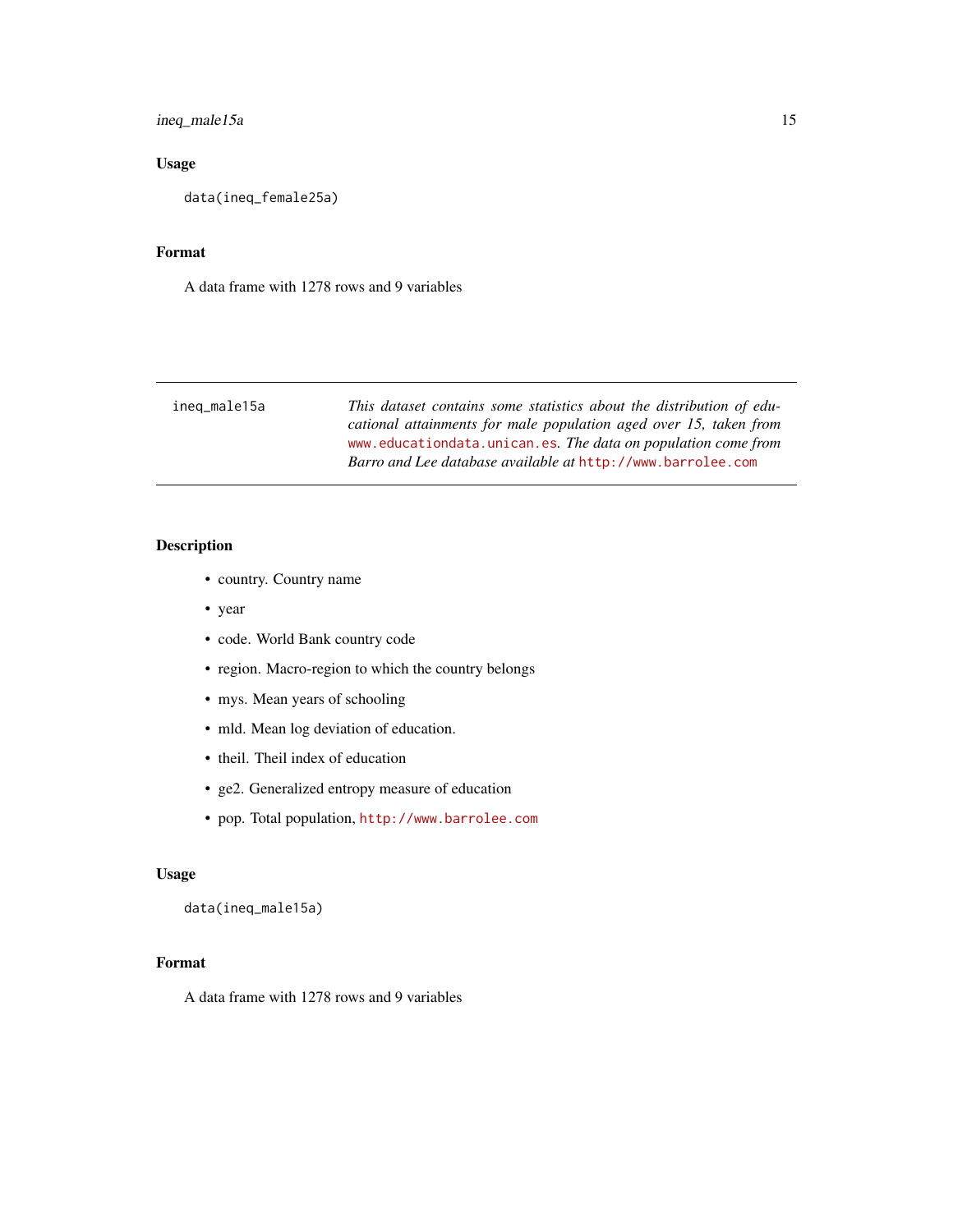# <span id="page-14-0"></span>ineq\_male15a 15

# Usage

data(ineq\_female25a)

# Format

A data frame with 1278 rows and 9 variables

| ineq_male15a | This dataset contains some statistics about the distribution of edu- |
|--------------|----------------------------------------------------------------------|
|              | cational attainments for male population aged over 15, taken from    |
|              | www.educationdata.unican.es. The data on population come from        |
|              | Barro and Lee database available at http://www.barrolee.com          |
|              |                                                                      |

# Description

- country. Country name
- year
- code. World Bank country code
- region. Macro-region to which the country belongs
- mys. Mean years of schooling
- mld. Mean log deviation of education.
- theil. Theil index of education
- ge2. Generalized entropy measure of education
- pop. Total population, <http://www.barrolee.com>

### Usage

data(ineq\_male15a)

# Format

A data frame with 1278 rows and 9 variables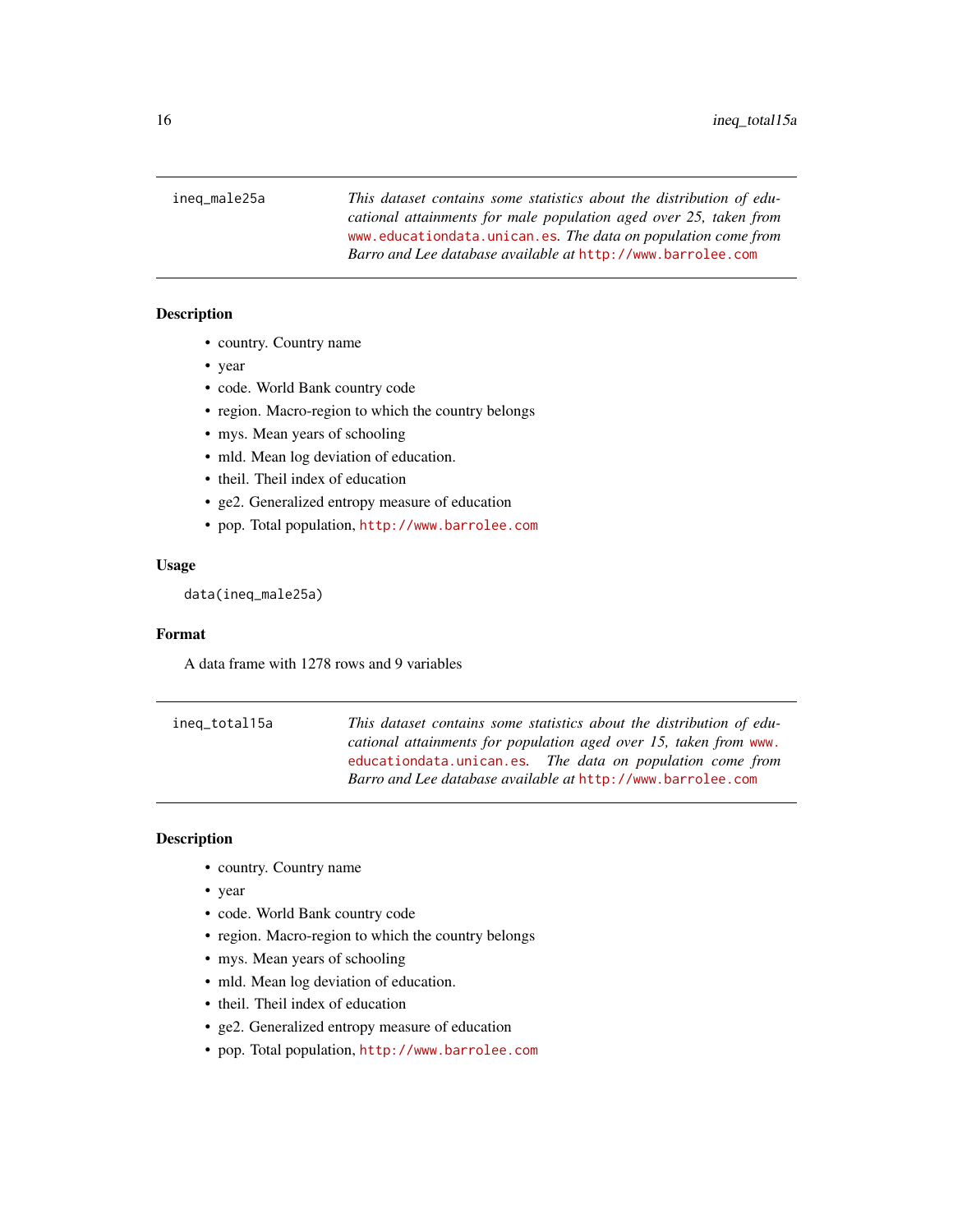<span id="page-15-0"></span>ineq\_male25a *This dataset contains some statistics about the distribution of educational attainments for male population aged over 25, taken from* <www.educationdata.unican.es>*. The data on population come from Barro and Lee database available at* <http://www.barrolee.com>

# Description

- country. Country name
- year
- code. World Bank country code
- region. Macro-region to which the country belongs
- mys. Mean years of schooling
- mld. Mean log deviation of education.
- theil. Theil index of education
- ge2. Generalized entropy measure of education
- pop. Total population, <http://www.barrolee.com>

#### Usage

data(ineq\_male25a)

#### Format

A data frame with 1278 rows and 9 variables

ineq\_total15a *This dataset contains some statistics about the distribution of educational attainments for population aged over 15, taken from* [www.](www.educationdata.unican.es) [educationdata.unican.es](www.educationdata.unican.es)*. The data on population come from Barro and Lee database available at* <http://www.barrolee.com>

### Description

- country. Country name
- year
- code. World Bank country code
- region. Macro-region to which the country belongs
- mys. Mean years of schooling
- mld. Mean log deviation of education.
- theil. Theil index of education
- ge2. Generalized entropy measure of education
- pop. Total population, <http://www.barrolee.com>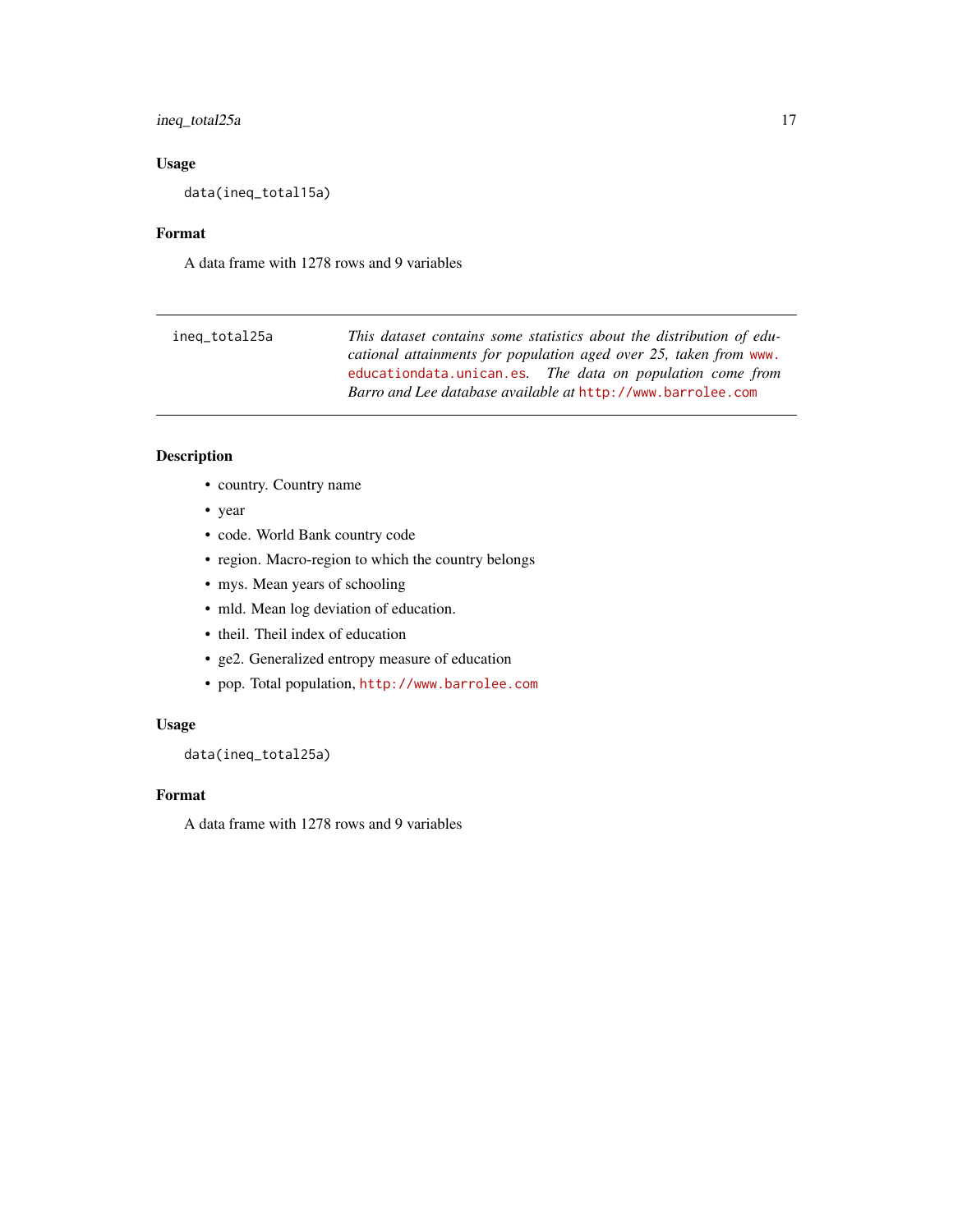# <span id="page-16-0"></span>ineq\_total25a 17

# Usage

data(ineq\_total15a)

#### Format

A data frame with 1278 rows and 9 variables

| ineq_total25a | This dataset contains some statistics about the distribution of edu- |
|---------------|----------------------------------------------------------------------|
|               | cational attainments for population aged over 25, taken from www.    |
|               | educationdata.unican.es. The data on population come from            |
|               | Barro and Lee database available at http://www.barrolee.com          |

# Description

- country. Country name
- year
- code. World Bank country code
- region. Macro-region to which the country belongs
- mys. Mean years of schooling
- mld. Mean log deviation of education.
- theil. Theil index of education
- ge2. Generalized entropy measure of education
- pop. Total population, <http://www.barrolee.com>

# Usage

data(ineq\_total25a)

# Format

A data frame with 1278 rows and 9 variables